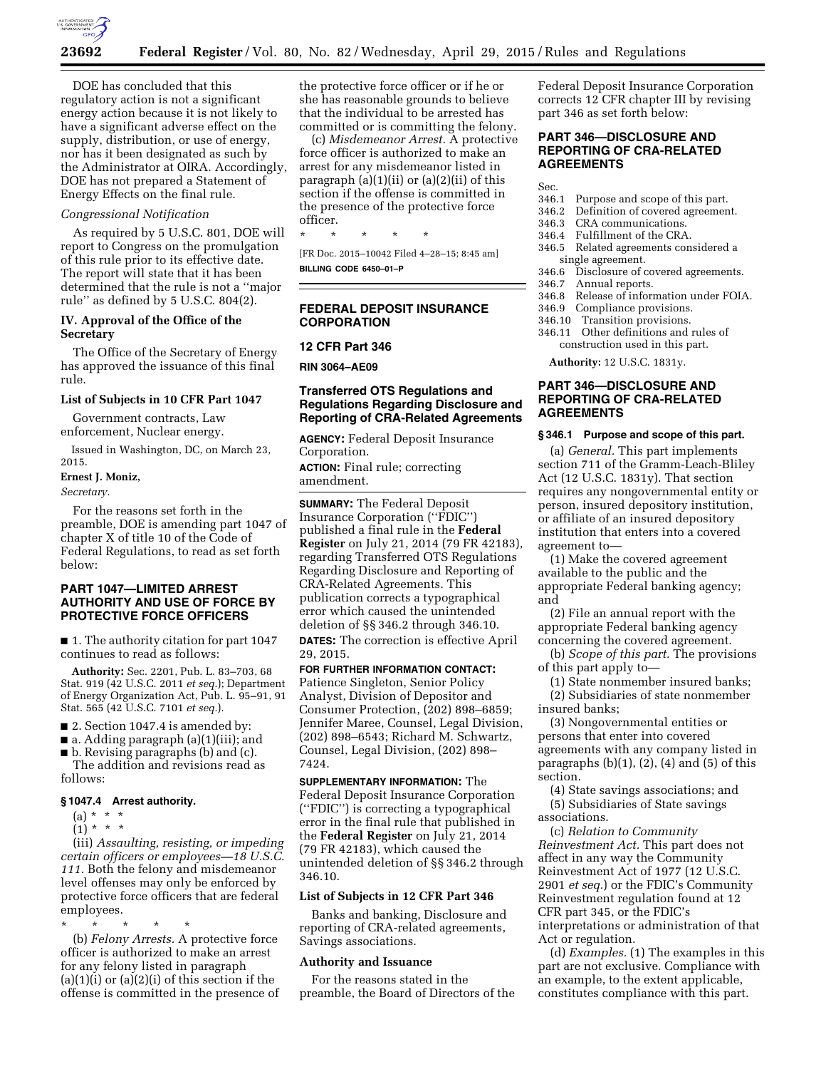

DOE has concluded that this regulatory action is not a significant energy action because it is not likely to have a significant adverse effect on the supply, distribution, or use of energy, nor has it been designated as such by the Administrator at OIRA. Accordingly, DOE has not prepared a Statement of Energy Effects on the final rule.

## *Congressional Notification*

As required by 5 U.S.C. 801, DOE will report to Congress on the promulgation of this rule prior to its effective date. The report will state that it has been determined that the rule is not a ''major rule'' as defined by 5 U.S.C. 804(2).

### **IV. Approval of the Office of the Secretary**

The Office of the Secretary of Energy has approved the issuance of this final rule.

## **List of Subjects in 10 CFR Part 1047**

Government contracts, Law enforcement, Nuclear energy.

Issued in Washington, DC, on March 23, 2015.

#### **Ernest J. Moniz,**

*Secretary.* 

For the reasons set forth in the preamble, DOE is amending part 1047 of chapter X of title 10 of the Code of Federal Regulations, to read as set forth below:

# **PART 1047—LIMITED ARREST AUTHORITY AND USE OF FORCE BY PROTECTIVE FORCE OFFICERS**

■ 1. The authority citation for part 1047 continues to read as follows:

**Authority:** Sec. 2201, Pub. L. 83–703, 68 Stat. 919 (42 U.S.C. 2011 *et seq.*); Department of Energy Organization Act, Pub. L. 95–91, 91 Stat. 565 (42 U.S.C. 7101 *et seq.*).

■ 2. Section 1047.4 is amended by:

■ a. Adding paragraph (a)(1)(iii); and

■ b. Revising paragraphs (b) and (c).

The addition and revisions read as follows:

# **§ 1047.4 Arrest authority.**

- (a) \* \* \*
- $(1) * * * *$

(iii) *Assaulting, resisting, or impeding certain officers or employees—18 U.S.C. 111.* Both the felony and misdemeanor level offenses may only be enforced by protective force officers that are federal employees.

\* \* \* \* \* (b) *Felony Arrests.* A protective force officer is authorized to make an arrest for any felony listed in paragraph  $(a)(1)(i)$  or  $(a)(2)(i)$  of this section if the offense is committed in the presence of

the protective force officer or if he or she has reasonable grounds to believe that the individual to be arrested has committed or is committing the felony.

(c) *Misdemeanor Arrest.* A protective force officer is authorized to make an arrest for any misdemeanor listed in paragraph (a)(1)(ii) or (a)(2)(ii) of this section if the offense is committed in the presence of the protective force officer.

\* \* \* \* \*

[FR Doc. 2015–10042 Filed 4–28–15; 8:45 am] **BILLING CODE 6450–01–P** 

# **FEDERAL DEPOSIT INSURANCE CORPORATION**

## **12 CFR Part 346**

**RIN 3064–AE09** 

# **Transferred OTS Regulations and Regulations Regarding Disclosure and Reporting of CRA-Related Agreements**

**AGENCY:** Federal Deposit Insurance Corporation. **ACTION:** Final rule; correcting amendment.

**SUMMARY:** The Federal Deposit Insurance Corporation (''FDIC'') published a final rule in the **Federal Register** on July 21, 2014 (79 FR 42183), regarding Transferred OTS Regulations Regarding Disclosure and Reporting of CRA-Related Agreements. This publication corrects a typographical error which caused the unintended deletion of §§ 346.2 through 346.10.

**DATES:** The correction is effective April 29, 2015.

**FOR FURTHER INFORMATION CONTACT:**  Patience Singleton, Senior Policy Analyst, Division of Depositor and Consumer Protection, (202) 898–6859; Jennifer Maree, Counsel, Legal Division, (202) 898–6543; Richard M. Schwartz, Counsel, Legal Division, (202) 898– 7424.

**SUPPLEMENTARY INFORMATION:** The Federal Deposit Insurance Corporation (''FDIC'') is correcting a typographical error in the final rule that published in the **Federal Register** on July 21, 2014 (79 FR 42183), which caused the unintended deletion of §§ 346.2 through 346.10.

## **List of Subjects in 12 CFR Part 346**

Banks and banking, Disclosure and reporting of CRA-related agreements, Savings associations.

## **Authority and Issuance**

For the reasons stated in the preamble, the Board of Directors of the Federal Deposit Insurance Corporation corrects 12 CFR chapter III by revising part 346 as set forth below:

# **PART 346—DISCLOSURE AND REPORTING OF CRA-RELATED AGREEMENTS**

Sec.

- 346.1 Purpose and scope of this part.
- 346.2 Definition of covered agreement.
- 346.3 CRA communications.<br>346.4 Fulfillment of the CRA
- Fulfillment of the CRA.
- 346.5 Related agreements considered a single agreement.
- 346.6 Disclosure of covered agreements.
- 346.7 Annual reports.
- Release of information under FOIA.
- 346.9 Compliance provisions.
- 346.10 Transition provisions.
- 346.11 Other definitions and rules of construction used in this part.

**Authority:** 12 U.S.C. 1831y.

# **PART 346—DISCLOSURE AND REPORTING OF CRA-RELATED AGREEMENTS**

### **§ 346.1 Purpose and scope of this part.**

(a) *General.* This part implements section 711 of the Gramm-Leach-Bliley Act (12 U.S.C. 1831y). That section requires any nongovernmental entity or person, insured depository institution, or affiliate of an insured depository institution that enters into a covered agreement to—

(1) Make the covered agreement available to the public and the appropriate Federal banking agency; and

(2) File an annual report with the appropriate Federal banking agency concerning the covered agreement.

- (b) *Scope of this part.* The provisions of this part apply to—
- (1) State nonmember insured banks; (2) Subsidiaries of state nonmember

insured banks; (3) Nongovernmental entities or persons that enter into covered agreements with any company listed in paragraphs  $(b)(1)$ ,  $(2)$ ,  $(4)$  and  $(5)$  of this section.

(4) State savings associations; and (5) Subsidiaries of State savings associations.

(c) *Relation to Community Reinvestment Act.* This part does not affect in any way the Community Reinvestment Act of 1977 (12 U.S.C. 2901 *et seq.*) or the FDIC's Community Reinvestment regulation found at 12 CFR part 345, or the FDIC's interpretations or administration of that Act or regulation.

(d) *Examples.* (1) The examples in this part are not exclusive. Compliance with an example, to the extent applicable, constitutes compliance with this part.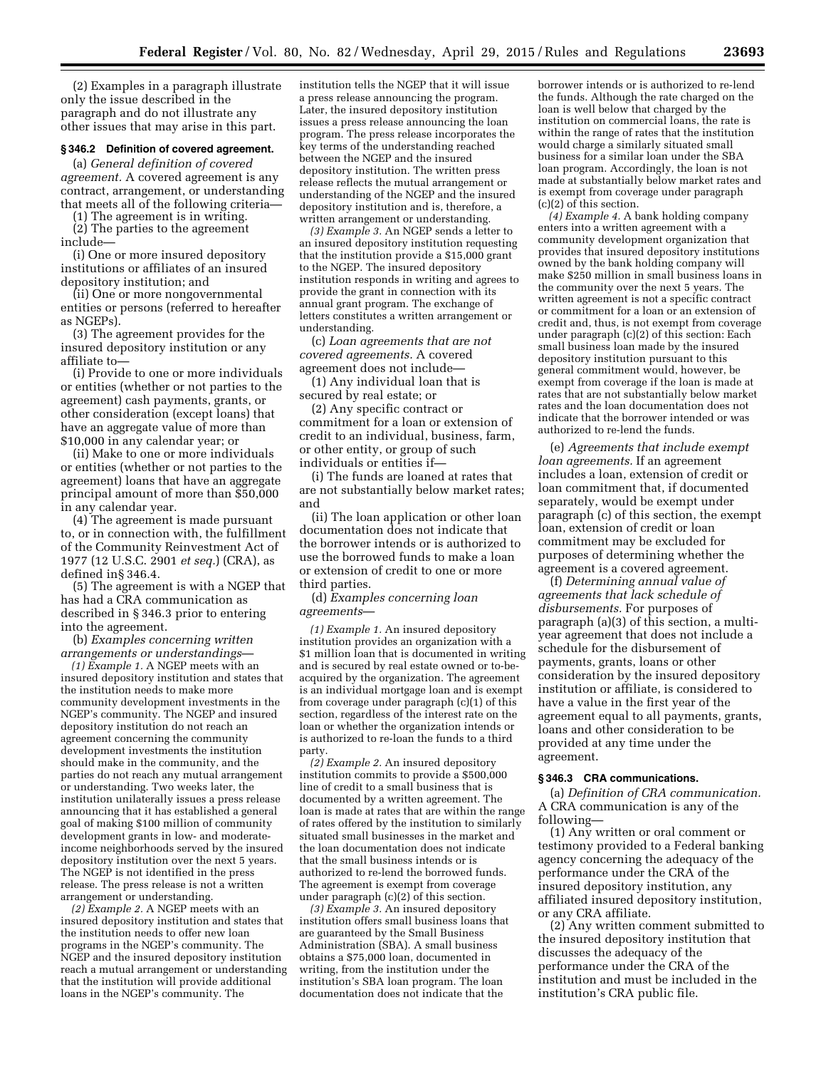(2) Examples in a paragraph illustrate only the issue described in the paragraph and do not illustrate any other issues that may arise in this part.

### **§ 346.2 Definition of covered agreement.**

(a) *General definition of covered agreement.* A covered agreement is any contract, arrangement, or understanding that meets all of the following criteria—

(1) The agreement is in writing. (2) The parties to the agreement include—

(i) One or more insured depository institutions or affiliates of an insured depository institution; and

(ii) One or more nongovernmental entities or persons (referred to hereafter as NGEPs).

(3) The agreement provides for the insured depository institution or any affiliate to—

(i) Provide to one or more individuals or entities (whether or not parties to the agreement) cash payments, grants, or other consideration (except loans) that have an aggregate value of more than \$10,000 in any calendar year; or

(ii) Make to one or more individuals or entities (whether or not parties to the agreement) loans that have an aggregate principal amount of more than \$50,000 in any calendar year.

(4) The agreement is made pursuant to, or in connection with, the fulfillment of the Community Reinvestment Act of 1977 (12 U.S.C. 2901 *et seq.*) (CRA), as defined in§ 346.4.

(5) The agreement is with a NGEP that has had a CRA communication as described in § 346.3 prior to entering into the agreement.

(b) *Examples concerning written arrangements or understandings*—

*(1) Example 1.* A NGEP meets with an insured depository institution and states that the institution needs to make more community development investments in the NGEP's community. The NGEP and insured depository institution do not reach an agreement concerning the community development investments the institution should make in the community, and the parties do not reach any mutual arrangement or understanding. Two weeks later, the institution unilaterally issues a press release announcing that it has established a general goal of making \$100 million of community development grants in low- and moderateincome neighborhoods served by the insured depository institution over the next 5 years. The NGEP is not identified in the press release. The press release is not a written arrangement or understanding.

*(2) Example 2.* A NGEP meets with an insured depository institution and states that the institution needs to offer new loan programs in the NGEP's community. The NGEP and the insured depository institution reach a mutual arrangement or understanding that the institution will provide additional loans in the NGEP's community. The

institution tells the NGEP that it will issue a press release announcing the program. Later, the insured depository institution issues a press release announcing the loan program. The press release incorporates the key terms of the understanding reached between the NGEP and the insured depository institution. The written press release reflects the mutual arrangement or understanding of the NGEP and the insured depository institution and is, therefore, a written arrangement or understanding.

*(3) Example 3.* An NGEP sends a letter to an insured depository institution requesting that the institution provide a \$15,000 grant to the NGEP. The insured depository institution responds in writing and agrees to provide the grant in connection with its annual grant program. The exchange of letters constitutes a written arrangement or understanding.

(c) *Loan agreements that are not covered agreements.* A covered agreement does not include—

(1) Any individual loan that is secured by real estate; or

(2) Any specific contract or commitment for a loan or extension of credit to an individual, business, farm, or other entity, or group of such individuals or entities if—

(i) The funds are loaned at rates that are not substantially below market rates; and

(ii) The loan application or other loan documentation does not indicate that the borrower intends or is authorized to use the borrowed funds to make a loan or extension of credit to one or more third parties.

(d) *Examples concerning loan agreements*—

*(1) Example 1.* An insured depository institution provides an organization with a \$1 million loan that is documented in writing and is secured by real estate owned or to-beacquired by the organization. The agreement is an individual mortgage loan and is exempt from coverage under paragraph (c)(1) of this section, regardless of the interest rate on the loan or whether the organization intends or is authorized to re-loan the funds to a third party.

*(2) Example 2.* An insured depository institution commits to provide a \$500,000 line of credit to a small business that is documented by a written agreement. The loan is made at rates that are within the range of rates offered by the institution to similarly situated small businesses in the market and the loan documentation does not indicate that the small business intends or is authorized to re-lend the borrowed funds. The agreement is exempt from coverage under paragraph (c)(2) of this section.

*(3) Example 3.* An insured depository institution offers small business loans that are guaranteed by the Small Business Administration (SBA). A small business obtains a \$75,000 loan, documented in writing, from the institution under the institution's SBA loan program. The loan documentation does not indicate that the

borrower intends or is authorized to re-lend the funds. Although the rate charged on the loan is well below that charged by the institution on commercial loans, the rate is within the range of rates that the institution would charge a similarly situated small business for a similar loan under the SBA loan program. Accordingly, the loan is not made at substantially below market rates and is exempt from coverage under paragraph (c)(2) of this section.

*(4) Example 4.* A bank holding company enters into a written agreement with a community development organization that provides that insured depository institutions owned by the bank holding company will make \$250 million in small business loans in the community over the next 5 years. The written agreement is not a specific contract or commitment for a loan or an extension of credit and, thus, is not exempt from coverage under paragraph (c)(2) of this section: Each small business loan made by the insured depository institution pursuant to this general commitment would, however, be exempt from coverage if the loan is made at rates that are not substantially below market rates and the loan documentation does not indicate that the borrower intended or was authorized to re-lend the funds.

(e) *Agreements that include exempt loan agreements.* If an agreement includes a loan, extension of credit or loan commitment that, if documented separately, would be exempt under paragraph (c) of this section, the exempt loan, extension of credit or loan commitment may be excluded for purposes of determining whether the agreement is a covered agreement.

(f) *Determining annual value of agreements that lack schedule of disbursements.* For purposes of paragraph (a)(3) of this section, a multiyear agreement that does not include a schedule for the disbursement of payments, grants, loans or other consideration by the insured depository institution or affiliate, is considered to have a value in the first year of the agreement equal to all payments, grants, loans and other consideration to be provided at any time under the agreement.

#### **§ 346.3 CRA communications.**

(a) *Definition of CRA communication.*  A CRA communication is any of the following—

(1) Any written or oral comment or testimony provided to a Federal banking agency concerning the adequacy of the performance under the CRA of the insured depository institution, any affiliated insured depository institution, or any CRA affiliate.

(2) Any written comment submitted to the insured depository institution that discusses the adequacy of the performance under the CRA of the institution and must be included in the institution's CRA public file.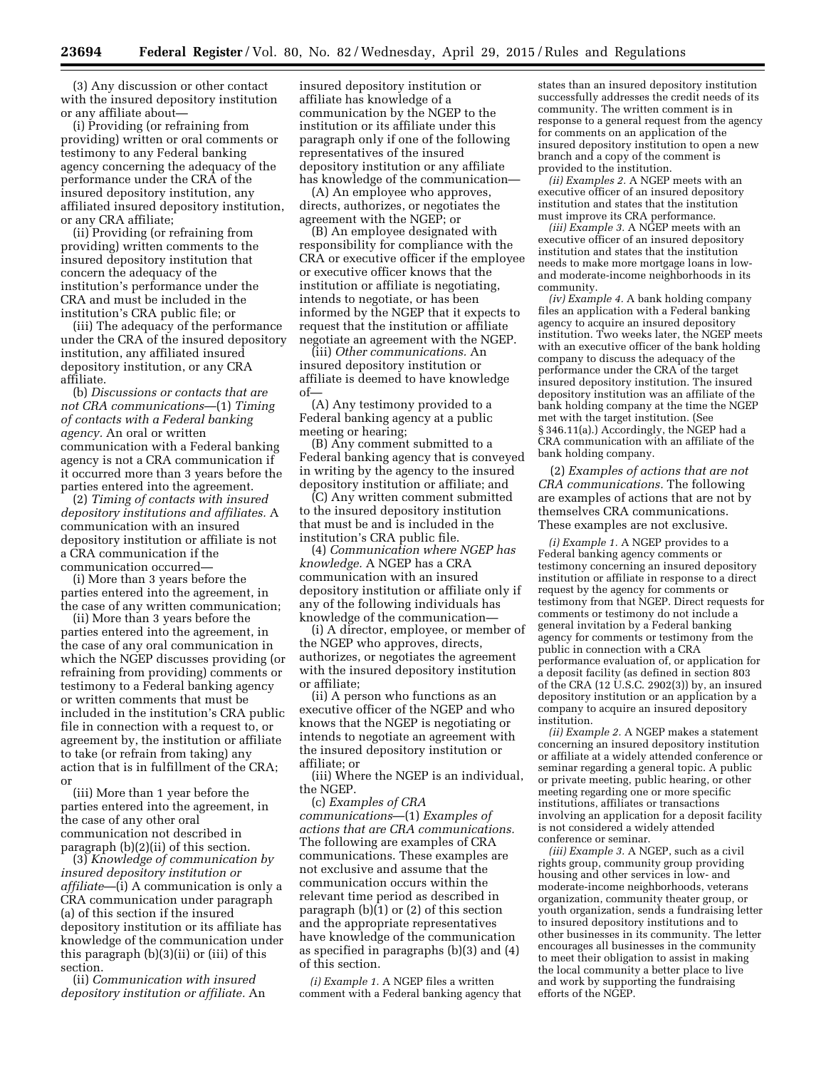(3) Any discussion or other contact with the insured depository institution or any affiliate about—

(i) Providing (or refraining from providing) written or oral comments or testimony to any Federal banking agency concerning the adequacy of the performance under the CRA of the insured depository institution, any affiliated insured depository institution, or any CRA affiliate;

(ii) Providing (or refraining from providing) written comments to the insured depository institution that concern the adequacy of the institution's performance under the CRA and must be included in the institution's CRA public file; or

(iii) The adequacy of the performance under the CRA of the insured depository institution, any affiliated insured depository institution, or any CRA affiliate.

(b) *Discussions or contacts that are not CRA communications*—(1) *Timing of contacts with a Federal banking agency.* An oral or written communication with a Federal banking agency is not a CRA communication if it occurred more than 3 years before the parties entered into the agreement.

(2) *Timing of contacts with insured depository institutions and affiliates.* A communication with an insured depository institution or affiliate is not a CRA communication if the communication occurred—

(i) More than 3 years before the parties entered into the agreement, in the case of any written communication;

(ii) More than 3 years before the parties entered into the agreement, in the case of any oral communication in which the NGEP discusses providing (or refraining from providing) comments or testimony to a Federal banking agency or written comments that must be included in the institution's CRA public file in connection with a request to, or agreement by, the institution or affiliate to take (or refrain from taking) any action that is in fulfillment of the CRA; or

(iii) More than 1 year before the parties entered into the agreement, in the case of any other oral communication not described in paragraph (b)(2)(ii) of this section.

(3) *Knowledge of communication by insured depository institution or affiliate*—(i) A communication is only a CRA communication under paragraph (a) of this section if the insured depository institution or its affiliate has knowledge of the communication under this paragraph (b)(3)(ii) or (iii) of this section.

(ii) *Communication with insured depository institution or affiliate.* An

insured depository institution or affiliate has knowledge of a communication by the NGEP to the institution or its affiliate under this paragraph only if one of the following representatives of the insured depository institution or any affiliate has knowledge of the communication—

(A) An employee who approves, directs, authorizes, or negotiates the agreement with the NGEP; or

(B) An employee designated with responsibility for compliance with the CRA or executive officer if the employee or executive officer knows that the institution or affiliate is negotiating, intends to negotiate, or has been informed by the NGEP that it expects to request that the institution or affiliate negotiate an agreement with the NGEP.

(iii) *Other communications.* An insured depository institution or affiliate is deemed to have knowledge of—

(A) Any testimony provided to a Federal banking agency at a public meeting or hearing;

(B) Any comment submitted to a Federal banking agency that is conveyed in writing by the agency to the insured depository institution or affiliate; and

(C) Any written comment submitted to the insured depository institution that must be and is included in the institution's CRA public file.

(4) *Communication where NGEP has knowledge.* A NGEP has a CRA communication with an insured depository institution or affiliate only if any of the following individuals has knowledge of the communication—

(i) A director, employee, or member of the NGEP who approves, directs, authorizes, or negotiates the agreement with the insured depository institution or affiliate;

(ii) A person who functions as an executive officer of the NGEP and who knows that the NGEP is negotiating or intends to negotiate an agreement with the insured depository institution or affiliate; or

(iii) Where the NGEP is an individual, the NGEP.

(c) *Examples of CRA communications*—(1) *Examples of actions that are CRA communications.*  The following are examples of CRA communications. These examples are not exclusive and assume that the communication occurs within the relevant time period as described in paragraph (b)(1) or (2) of this section and the appropriate representatives have knowledge of the communication as specified in paragraphs (b)(3) and (4) of this section.

*(i) Example 1.* A NGEP files a written comment with a Federal banking agency that

states than an insured depository institution successfully addresses the credit needs of its community. The written comment is in response to a general request from the agency for comments on an application of the insured depository institution to open a new branch and a copy of the comment is provided to the institution.

*(ii) Examples 2.* A NGEP meets with an executive officer of an insured depository institution and states that the institution must improve its CRA performance.

*(iii) Example 3.* A NGEP meets with an executive officer of an insured depository institution and states that the institution needs to make more mortgage loans in lowand moderate-income neighborhoods in its community.

*(iv) Example 4.* A bank holding company files an application with a Federal banking agency to acquire an insured depository institution. Two weeks later, the NGEP meets with an executive officer of the bank holding company to discuss the adequacy of the performance under the CRA of the target insured depository institution. The insured depository institution was an affiliate of the bank holding company at the time the NGEP met with the target institution. (See § 346.11(a).) Accordingly, the NGEP had a CRA communication with an affiliate of the bank holding company.

(2) *Examples of actions that are not CRA communications.* The following are examples of actions that are not by themselves CRA communications. These examples are not exclusive.

*(i) Example 1.* A NGEP provides to a Federal banking agency comments or testimony concerning an insured depository institution or affiliate in response to a direct request by the agency for comments or testimony from that NGEP. Direct requests for comments or testimony do not include a general invitation by a Federal banking agency for comments or testimony from the public in connection with a CRA performance evaluation of, or application for a deposit facility (as defined in section 803 of the CRA (12 U.S.C. 2902(3)) by, an insured depository institution or an application by a company to acquire an insured depository institution.

*(ii) Example 2.* A NGEP makes a statement concerning an insured depository institution or affiliate at a widely attended conference or seminar regarding a general topic. A public or private meeting, public hearing, or other meeting regarding one or more specific institutions, affiliates or transactions involving an application for a deposit facility is not considered a widely attended conference or seminar.

*(iii) Example 3.* A NGEP, such as a civil rights group, community group providing housing and other services in low- and moderate-income neighborhoods, veterans organization, community theater group, or youth organization, sends a fundraising letter to insured depository institutions and to other businesses in its community. The letter encourages all businesses in the community to meet their obligation to assist in making the local community a better place to live and work by supporting the fundraising efforts of the NGEP.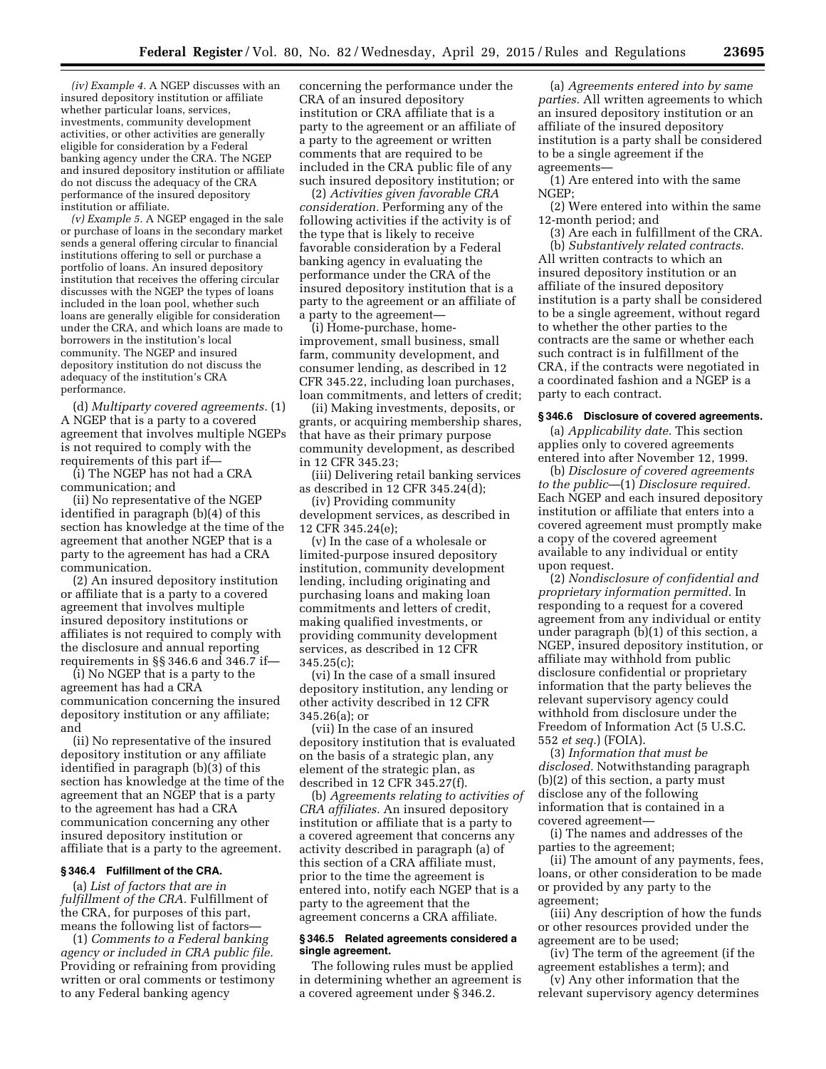*(iv) Example 4.* A NGEP discusses with an insured depository institution or affiliate whether particular loans, services, investments, community development activities, or other activities are generally eligible for consideration by a Federal banking agency under the CRA. The NGEP and insured depository institution or affiliate do not discuss the adequacy of the CRA performance of the insured depository institution or affiliate.

*(v) Example 5.* A NGEP engaged in the sale or purchase of loans in the secondary market sends a general offering circular to financial institutions offering to sell or purchase a portfolio of loans. An insured depository institution that receives the offering circular discusses with the NGEP the types of loans included in the loan pool, whether such loans are generally eligible for consideration under the CRA, and which loans are made to borrowers in the institution's local community. The NGEP and insured depository institution do not discuss the adequacy of the institution's CRA performance.

(d) *Multiparty covered agreements.* (1) A NGEP that is a party to a covered agreement that involves multiple NGEPs is not required to comply with the requirements of this part if—

(i) The NGEP has not had a CRA communication; and

(ii) No representative of the NGEP identified in paragraph (b)(4) of this section has knowledge at the time of the agreement that another NGEP that is a party to the agreement has had a CRA communication.

(2) An insured depository institution or affiliate that is a party to a covered agreement that involves multiple insured depository institutions or affiliates is not required to comply with the disclosure and annual reporting requirements in §§ 346.6 and 346.7 if—

(i) No NGEP that is a party to the agreement has had a CRA communication concerning the insured depository institution or any affiliate; and

(ii) No representative of the insured depository institution or any affiliate identified in paragraph (b)(3) of this section has knowledge at the time of the agreement that an NGEP that is a party to the agreement has had a CRA communication concerning any other insured depository institution or affiliate that is a party to the agreement.

### **§ 346.4 Fulfillment of the CRA.**

(a) *List of factors that are in fulfillment of the CRA.* Fulfillment of the CRA, for purposes of this part, means the following list of factors—

(1) *Comments to a Federal banking agency or included in CRA public file.*  Providing or refraining from providing written or oral comments or testimony to any Federal banking agency

concerning the performance under the CRA of an insured depository institution or CRA affiliate that is a party to the agreement or an affiliate of a party to the agreement or written comments that are required to be included in the CRA public file of any such insured depository institution; or

(2) *Activities given favorable CRA consideration.* Performing any of the following activities if the activity is of the type that is likely to receive favorable consideration by a Federal banking agency in evaluating the performance under the CRA of the insured depository institution that is a party to the agreement or an affiliate of a party to the agreement—

(i) Home-purchase, homeimprovement, small business, small farm, community development, and consumer lending, as described in 12 CFR 345.22, including loan purchases, loan commitments, and letters of credit;

(ii) Making investments, deposits, or grants, or acquiring membership shares, that have as their primary purpose community development, as described in 12 CFR 345.23;

(iii) Delivering retail banking services as described in 12 CFR 345.24 $\bar{d}$ );

(iv) Providing community development services, as described in 12 CFR 345.24(e);

(v) In the case of a wholesale or limited-purpose insured depository institution, community development lending, including originating and purchasing loans and making loan commitments and letters of credit, making qualified investments, or providing community development services, as described in 12 CFR 345.25(c);

(vi) In the case of a small insured depository institution, any lending or other activity described in 12 CFR 345.26(a); or

(vii) In the case of an insured depository institution that is evaluated on the basis of a strategic plan, any element of the strategic plan, as described in 12 CFR 345.27(f).

(b) *Agreements relating to activities of CRA affiliates.* An insured depository institution or affiliate that is a party to a covered agreement that concerns any activity described in paragraph (a) of this section of a CRA affiliate must, prior to the time the agreement is entered into, notify each NGEP that is a party to the agreement that the agreement concerns a CRA affiliate.

### **§ 346.5 Related agreements considered a single agreement.**

The following rules must be applied in determining whether an agreement is a covered agreement under § 346.2.

(a) *Agreements entered into by same parties.* All written agreements to which an insured depository institution or an affiliate of the insured depository institution is a party shall be considered to be a single agreement if the agreements—

(1) Are entered into with the same NGEP;

(2) Were entered into within the same 12-month period; and

(3) Are each in fulfillment of the CRA. (b) *Substantively related contracts.*  All written contracts to which an insured depository institution or an affiliate of the insured depository institution is a party shall be considered to be a single agreement, without regard to whether the other parties to the contracts are the same or whether each such contract is in fulfillment of the CRA, if the contracts were negotiated in a coordinated fashion and a NGEP is a party to each contract.

#### **§ 346.6 Disclosure of covered agreements.**

(a) *Applicability date.* This section applies only to covered agreements entered into after November 12, 1999.

(b) *Disclosure of covered agreements to the public*—(1) *Disclosure required.*  Each NGEP and each insured depository institution or affiliate that enters into a covered agreement must promptly make a copy of the covered agreement available to any individual or entity upon request.

(2) *Nondisclosure of confidential and proprietary information permitted.* In responding to a request for a covered agreement from any individual or entity under paragraph (b)(1) of this section, a NGEP, insured depository institution, or affiliate may withhold from public disclosure confidential or proprietary information that the party believes the relevant supervisory agency could withhold from disclosure under the Freedom of Information Act (5 U.S.C. 552 *et seq.*) (FOIA).

(3) *Information that must be disclosed.* Notwithstanding paragraph (b)(2) of this section, a party must disclose any of the following information that is contained in a covered agreement—

(i) The names and addresses of the parties to the agreement;

(ii) The amount of any payments, fees, loans, or other consideration to be made or provided by any party to the agreement;

(iii) Any description of how the funds or other resources provided under the agreement are to be used;

(iv) The term of the agreement (if the agreement establishes a term); and

(v) Any other information that the relevant supervisory agency determines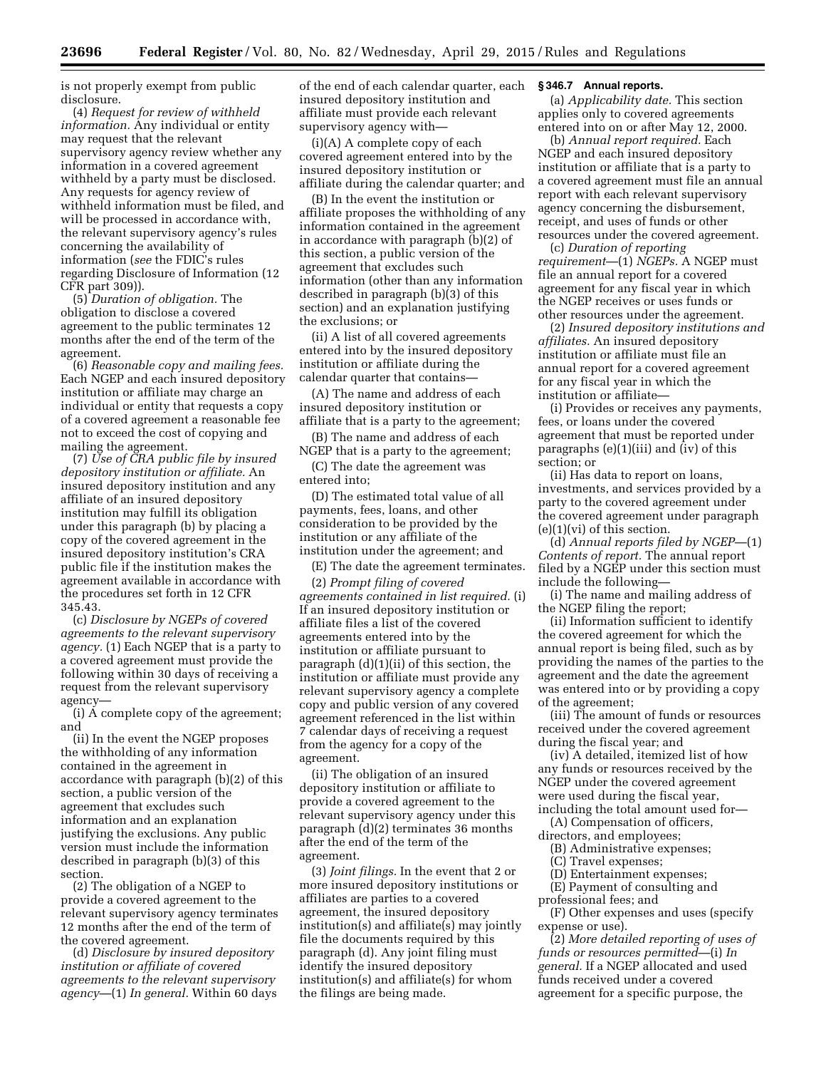is not properly exempt from public disclosure.

(4) *Request for review of withheld information.* Any individual or entity may request that the relevant supervisory agency review whether any information in a covered agreement withheld by a party must be disclosed. Any requests for agency review of withheld information must be filed, and will be processed in accordance with, the relevant supervisory agency's rules concerning the availability of information (*see* the FDIC's rules regarding Disclosure of Information (12 CFR part 309)).

(5) *Duration of obligation.* The obligation to disclose a covered agreement to the public terminates 12 months after the end of the term of the agreement.

(6) *Reasonable copy and mailing fees.*  Each NGEP and each insured depository institution or affiliate may charge an individual or entity that requests a copy of a covered agreement a reasonable fee not to exceed the cost of copying and mailing the agreement.

(7) *Use of CRA public file by insured depository institution or affiliate.* An insured depository institution and any affiliate of an insured depository institution may fulfill its obligation under this paragraph (b) by placing a copy of the covered agreement in the insured depository institution's CRA public file if the institution makes the agreement available in accordance with the procedures set forth in 12 CFR 345.43.

(c) *Disclosure by NGEPs of covered agreements to the relevant supervisory agency.* (1) Each NGEP that is a party to a covered agreement must provide the following within 30 days of receiving a request from the relevant supervisory agency—

(i) A complete copy of the agreement; and

(ii) In the event the NGEP proposes the withholding of any information contained in the agreement in accordance with paragraph (b)(2) of this section, a public version of the agreement that excludes such information and an explanation justifying the exclusions. Any public version must include the information described in paragraph (b)(3) of this section.

(2) The obligation of a NGEP to provide a covered agreement to the relevant supervisory agency terminates 12 months after the end of the term of the covered agreement.

(d) *Disclosure by insured depository institution or affiliate of covered agreements to the relevant supervisory agency*—(1) *In general.* Within 60 days of the end of each calendar quarter, each insured depository institution and affiliate must provide each relevant supervisory agency with—

(i)(A) A complete copy of each covered agreement entered into by the insured depository institution or affiliate during the calendar quarter; and

(B) In the event the institution or affiliate proposes the withholding of any information contained in the agreement in accordance with paragraph (b)(2) of this section, a public version of the agreement that excludes such information (other than any information described in paragraph (b)(3) of this section) and an explanation justifying the exclusions; or

(ii) A list of all covered agreements entered into by the insured depository institution or affiliate during the calendar quarter that contains—

(A) The name and address of each insured depository institution or affiliate that is a party to the agreement;

(B) The name and address of each NGEP that is a party to the agreement;

(C) The date the agreement was entered into;

(D) The estimated total value of all payments, fees, loans, and other consideration to be provided by the institution or any affiliate of the institution under the agreement; and

(E) The date the agreement terminates.

(2) *Prompt filing of covered agreements contained in list required.* (i) If an insured depository institution or affiliate files a list of the covered agreements entered into by the institution or affiliate pursuant to paragraph (d)(1)(ii) of this section, the institution or affiliate must provide any relevant supervisory agency a complete copy and public version of any covered agreement referenced in the list within 7 calendar days of receiving a request from the agency for a copy of the agreement.

(ii) The obligation of an insured depository institution or affiliate to provide a covered agreement to the relevant supervisory agency under this paragraph (d)(2) terminates 36 months after the end of the term of the agreement.

(3) *Joint filings.* In the event that 2 or more insured depository institutions or affiliates are parties to a covered agreement, the insured depository institution(s) and affiliate(s) may jointly file the documents required by this paragraph (d). Any joint filing must identify the insured depository institution(s) and affiliate(s) for whom the filings are being made.

### **§ 346.7 Annual reports.**

(a) *Applicability date.* This section applies only to covered agreements entered into on or after May 12, 2000.

(b) *Annual report required.* Each NGEP and each insured depository institution or affiliate that is a party to a covered agreement must file an annual report with each relevant supervisory agency concerning the disbursement, receipt, and uses of funds or other resources under the covered agreement.

(c) *Duration of reporting requirement*—(1) *NGEPs.* A NGEP must file an annual report for a covered agreement for any fiscal year in which the NGEP receives or uses funds or other resources under the agreement.

(2) *Insured depository institutions and affiliates.* An insured depository institution or affiliate must file an annual report for a covered agreement for any fiscal year in which the institution or affiliate—

(i) Provides or receives any payments, fees, or loans under the covered agreement that must be reported under paragraphs  $(e)(1)(iii)$  and  $(iv)$  of this section; or

(ii) Has data to report on loans, investments, and services provided by a party to the covered agreement under the covered agreement under paragraph (e)(1)(vi) of this section.

(d) *Annual reports filed by NGEP*—(1) *Contents of report.* The annual report filed by a NGEP under this section must include the following—

(i) The name and mailing address of the NGEP filing the report;

(ii) Information sufficient to identify the covered agreement for which the annual report is being filed, such as by providing the names of the parties to the agreement and the date the agreement was entered into or by providing a copy of the agreement;

(iii) The amount of funds or resources received under the covered agreement during the fiscal year; and

(iv) A detailed, itemized list of how any funds or resources received by the NGEP under the covered agreement were used during the fiscal year, including the total amount used for—

(A) Compensation of officers,

directors, and employees; (B) Administrative expenses;

(C) Travel expenses;

(D) Entertainment expenses;

(E) Payment of consulting and

professional fees; and

(F) Other expenses and uses (specify expense or use).

(2) *More detailed reporting of uses of funds or resources permitted*—(i) *In general.* If a NGEP allocated and used funds received under a covered agreement for a specific purpose, the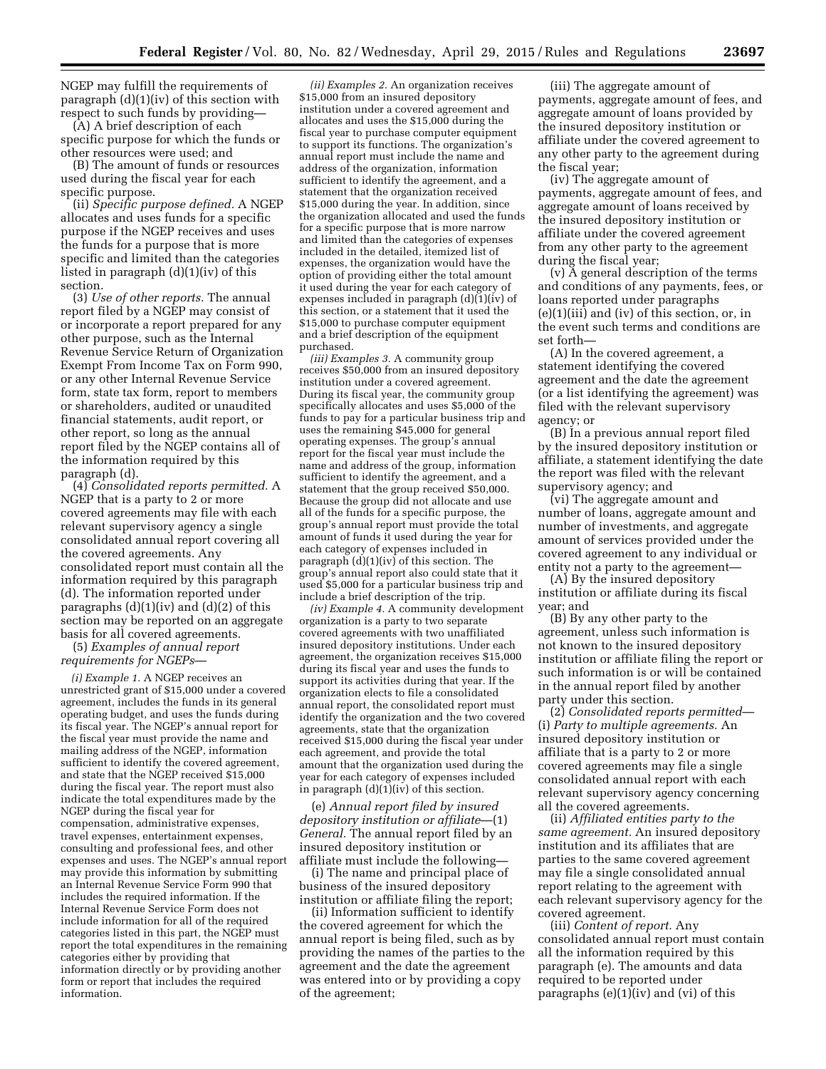NGEP may fulfill the requirements of paragraph (d)(1)(iv) of this section with respect to such funds by providing—

(A) A brief description of each specific purpose for which the funds or other resources were used; and

(B) The amount of funds or resources used during the fiscal year for each specific purpose.

(ii) *Specific purpose defined.* A NGEP allocates and uses funds for a specific purpose if the NGEP receives and uses the funds for a purpose that is more specific and limited than the categories listed in paragraph (d)(1)(iv) of this section.

(3) *Use of other reports.* The annual report filed by a NGEP may consist of or incorporate a report prepared for any other purpose, such as the Internal Revenue Service Return of Organization Exempt From Income Tax on Form 990, or any other Internal Revenue Service form, state tax form, report to members or shareholders, audited or unaudited financial statements, audit report, or other report, so long as the annual report filed by the NGEP contains all of the information required by this paragraph (d).

(4) *Consolidated reports permitted.* A NGEP that is a party to 2 or more covered agreements may file with each relevant supervisory agency a single consolidated annual report covering all the covered agreements. Any consolidated report must contain all the information required by this paragraph (d). The information reported under paragraphs  $(d)(1)(iv)$  and  $(d)(2)$  of this section may be reported on an aggregate basis for all covered agreements.

(5) *Examples of annual report requirements for NGEPs*—

*(i) Example 1.* A NGEP receives an unrestricted grant of \$15,000 under a covered agreement, includes the funds in its general operating budget, and uses the funds during its fiscal year. The NGEP's annual report for the fiscal year must provide the name and mailing address of the NGEP, information sufficient to identify the covered agreement, and state that the NGEP received \$15,000 during the fiscal year. The report must also indicate the total expenditures made by the NGEP during the fiscal year for compensation, administrative expenses, travel expenses, entertainment expenses, consulting and professional fees, and other expenses and uses. The NGEP's annual report may provide this information by submitting an Internal Revenue Service Form 990 that includes the required information. If the Internal Revenue Service Form does not include information for all of the required categories listed in this part, the NGEP must report the total expenditures in the remaining categories either by providing that information directly or by providing another form or report that includes the required information.

*(ii) Examples 2.* An organization receives \$15,000 from an insured depository institution under a covered agreement and allocates and uses the \$15,000 during the fiscal year to purchase computer equipment to support its functions. The organization's annual report must include the name and address of the organization, information sufficient to identify the agreement, and a statement that the organization received \$15,000 during the year. In addition, since the organization allocated and used the funds for a specific purpose that is more narrow and limited than the categories of expenses included in the detailed, itemized list of expenses, the organization would have the option of providing either the total amount it used during the year for each category of expenses included in paragraph (d)(1)(iv) of this section, or a statement that it used the \$15,000 to purchase computer equipment and a brief description of the equipment purchased.

*(iii) Examples 3.* A community group receives \$50,000 from an insured depository institution under a covered agreement. During its fiscal year, the community group specifically allocates and uses \$5,000 of the funds to pay for a particular business trip and uses the remaining \$45,000 for general operating expenses. The group's annual report for the fiscal year must include the name and address of the group, information sufficient to identify the agreement, and a statement that the group received \$50,000. Because the group did not allocate and use all of the funds for a specific purpose, the group's annual report must provide the total amount of funds it used during the year for each category of expenses included in paragraph (d)(1)(iv) of this section. The group's annual report also could state that it used \$5,000 for a particular business trip and include a brief description of the trip.

*(iv) Example 4.* A community development organization is a party to two separate covered agreements with two unaffiliated insured depository institutions. Under each agreement, the organization receives \$15,000 during its fiscal year and uses the funds to support its activities during that year. If the organization elects to file a consolidated annual report, the consolidated report must identify the organization and the two covered agreements, state that the organization received \$15,000 during the fiscal year under each agreement, and provide the total amount that the organization used during the year for each category of expenses included in paragraph (d)(1)(iv) of this section.

(e) *Annual report filed by insured depository institution or affiliate*—(1) *General.* The annual report filed by an insured depository institution or affiliate must include the following—

(i) The name and principal place of business of the insured depository institution or affiliate filing the report;

(ii) Information sufficient to identify the covered agreement for which the annual report is being filed, such as by providing the names of the parties to the agreement and the date the agreement was entered into or by providing a copy of the agreement;

(iii) The aggregate amount of payments, aggregate amount of fees, and aggregate amount of loans provided by the insured depository institution or affiliate under the covered agreement to any other party to the agreement during the fiscal year;

(iv) The aggregate amount of payments, aggregate amount of fees, and aggregate amount of loans received by the insured depository institution or affiliate under the covered agreement from any other party to the agreement during the fiscal year;

(v) A general description of the terms and conditions of any payments, fees, or loans reported under paragraphs (e)(1)(iii) and (iv) of this section, or, in the event such terms and conditions are set forth—

(A) In the covered agreement, a statement identifying the covered agreement and the date the agreement (or a list identifying the agreement) was filed with the relevant supervisory agency; or

(B) In a previous annual report filed by the insured depository institution or affiliate, a statement identifying the date the report was filed with the relevant supervisory agency; and

(vi) The aggregate amount and number of loans, aggregate amount and number of investments, and aggregate amount of services provided under the covered agreement to any individual or entity not a party to the agreement-

(A) By the insured depository institution or affiliate during its fiscal year; and

(B) By any other party to the agreement, unless such information is not known to the insured depository institution or affiliate filing the report or such information is or will be contained in the annual report filed by another party under this section.

(2) *Consolidated reports permitted*— (i) *Party to multiple agreements.* An insured depository institution or affiliate that is a party to 2 or more covered agreements may file a single consolidated annual report with each relevant supervisory agency concerning all the covered agreements.

(ii) *Affiliated entities party to the same agreement.* An insured depository institution and its affiliates that are parties to the same covered agreement may file a single consolidated annual report relating to the agreement with each relevant supervisory agency for the covered agreement.

(iii) *Content of report.* Any consolidated annual report must contain all the information required by this paragraph (e). The amounts and data required to be reported under paragraphs (e)(1)(iv) and (vi) of this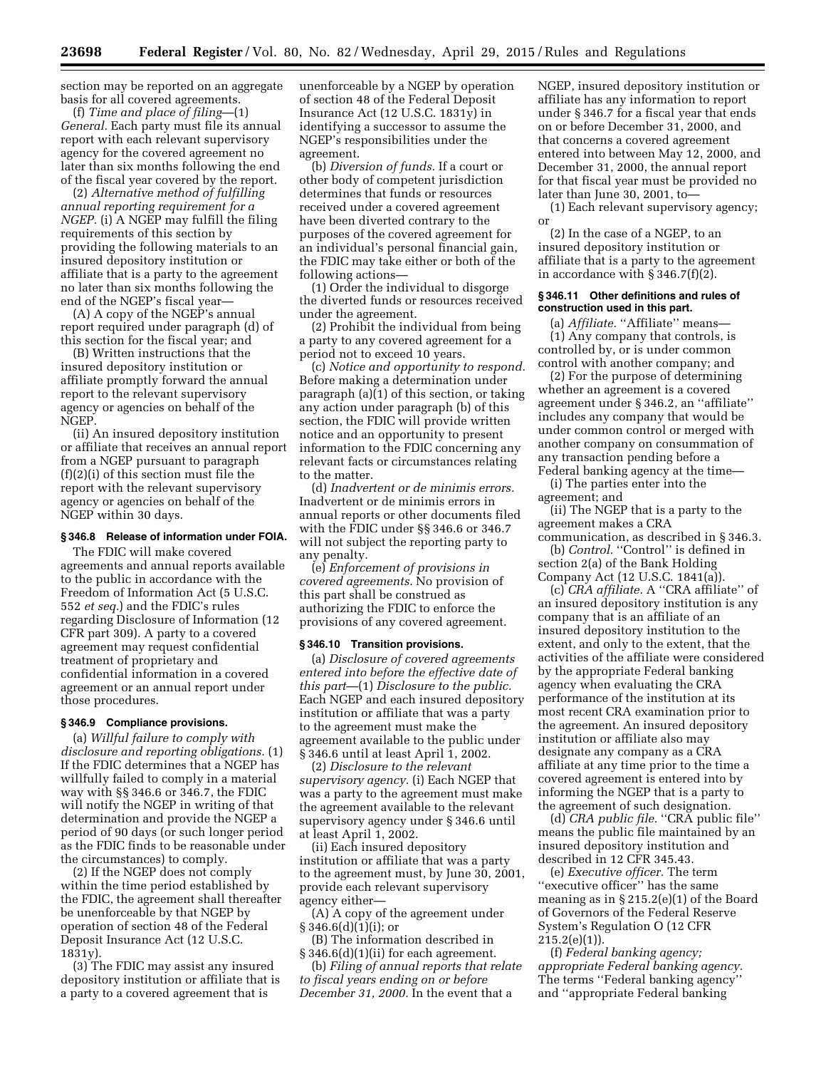section may be reported on an aggregate basis for all covered agreements.

(f) *Time and place of filing*—(1) *General.* Each party must file its annual report with each relevant supervisory agency for the covered agreement no later than six months following the end of the fiscal year covered by the report.

(2) *Alternative method of fulfilling annual reporting requirement for a NGEP.* (i) A NGEP may fulfill the filing requirements of this section by providing the following materials to an insured depository institution or affiliate that is a party to the agreement no later than six months following the end of the NGEP's fiscal year—

(A) A copy of the NGEP's annual report required under paragraph (d) of this section for the fiscal year; and

(B) Written instructions that the insured depository institution or affiliate promptly forward the annual report to the relevant supervisory agency or agencies on behalf of the NGEP.

(ii) An insured depository institution or affiliate that receives an annual report from a NGEP pursuant to paragraph (f)(2)(i) of this section must file the report with the relevant supervisory agency or agencies on behalf of the NGEP within 30 days.

### **§ 346.8 Release of information under FOIA.**

The FDIC will make covered agreements and annual reports available to the public in accordance with the Freedom of Information Act (5 U.S.C. 552 *et seq.*) and the FDIC's rules regarding Disclosure of Information (12 CFR part 309). A party to a covered agreement may request confidential treatment of proprietary and confidential information in a covered agreement or an annual report under those procedures.

#### **§ 346.9 Compliance provisions.**

(a) *Willful failure to comply with disclosure and reporting obligations.* (1) If the FDIC determines that a NGEP has willfully failed to comply in a material way with §§ 346.6 or 346.7, the FDIC will notify the NGEP in writing of that determination and provide the NGEP a period of 90 days (or such longer period as the FDIC finds to be reasonable under the circumstances) to comply.

(2) If the NGEP does not comply within the time period established by the FDIC, the agreement shall thereafter be unenforceable by that NGEP by operation of section 48 of the Federal Deposit Insurance Act (12 U.S.C. 1831y).

(3) The FDIC may assist any insured depository institution or affiliate that is a party to a covered agreement that is

unenforceable by a NGEP by operation of section 48 of the Federal Deposit Insurance Act (12 U.S.C. 1831y) in identifying a successor to assume the NGEP's responsibilities under the agreement.

(b) *Diversion of funds.* If a court or other body of competent jurisdiction determines that funds or resources received under a covered agreement have been diverted contrary to the purposes of the covered agreement for an individual's personal financial gain, the FDIC may take either or both of the following actions—

(1) Order the individual to disgorge the diverted funds or resources received under the agreement.

(2) Prohibit the individual from being a party to any covered agreement for a period not to exceed 10 years.

(c) *Notice and opportunity to respond.*  Before making a determination under paragraph (a)(1) of this section, or taking any action under paragraph (b) of this section, the FDIC will provide written notice and an opportunity to present information to the FDIC concerning any relevant facts or circumstances relating to the matter.

(d) *Inadvertent or de minimis errors.*  Inadvertent or de minimis errors in annual reports or other documents filed with the FDIC under §§ 346.6 or 346.7 will not subject the reporting party to any penalty.

(e) *Enforcement of provisions in covered agreements.* No provision of this part shall be construed as authorizing the FDIC to enforce the provisions of any covered agreement.

### **§ 346.10 Transition provisions.**

(a) *Disclosure of covered agreements entered into before the effective date of this part*—(1) *Disclosure to the public.*  Each NGEP and each insured depository institution or affiliate that was a party to the agreement must make the agreement available to the public under § 346.6 until at least April 1, 2002.

(2) *Disclosure to the relevant supervisory agency.* (i) Each NGEP that was a party to the agreement must make the agreement available to the relevant supervisory agency under § 346.6 until at least April 1, 2002.

(ii) Each insured depository institution or affiliate that was a party to the agreement must, by June 30, 2001, provide each relevant supervisory agency either—

(A) A copy of the agreement under  $§ 346.6(d)(1)(i);$  or

(B) The information described in § 346.6(d)(1)(ii) for each agreement.

(b) *Filing of annual reports that relate to fiscal years ending on or before December 31, 2000.* In the event that a

NGEP, insured depository institution or affiliate has any information to report under § 346.7 for a fiscal year that ends on or before December 31, 2000, and that concerns a covered agreement entered into between May 12, 2000, and December 31, 2000, the annual report for that fiscal year must be provided no later than June 30, 2001, to—

(1) Each relevant supervisory agency; or

(2) In the case of a NGEP, to an insured depository institution or affiliate that is a party to the agreement in accordance with § 346.7(f)(2).

### **§ 346.11 Other definitions and rules of construction used in this part.**

(a) *Affiliate.* "Affiliate" means— (1) Any company that controls, is controlled by, or is under common control with another company; and

(2) For the purpose of determining whether an agreement is a covered agreement under § 346.2, an ''affiliate'' includes any company that would be under common control or merged with another company on consummation of any transaction pending before a Federal banking agency at the time—

(i) The parties enter into the agreement; and

(ii) The NGEP that is a party to the agreement makes a CRA

communication, as described in § 346.3. (b) *Control.* "Control" is defined in section 2(a) of the Bank Holding

Company Act (12 U.S.C. 1841(a)). (c) *CRA affiliate.* A ''CRA affiliate'' of

an insured depository institution is any company that is an affiliate of an insured depository institution to the extent, and only to the extent, that the activities of the affiliate were considered by the appropriate Federal banking agency when evaluating the CRA performance of the institution at its most recent CRA examination prior to the agreement. An insured depository institution or affiliate also may designate any company as a CRA affiliate at any time prior to the time a covered agreement is entered into by informing the NGEP that is a party to the agreement of such designation.

(d) *CRA public file.* ''CRA public file'' means the public file maintained by an insured depository institution and described in 12 CFR 345.43.

(e) *Executive officer.* The term "executive officer" has the same meaning as in § 215.2(e)(1) of the Board of Governors of the Federal Reserve System's Regulation O (12 CFR  $215.2(e)(1)$ 

(f) *Federal banking agency; appropriate Federal banking agency.*  The terms ''Federal banking agency'' and ''appropriate Federal banking